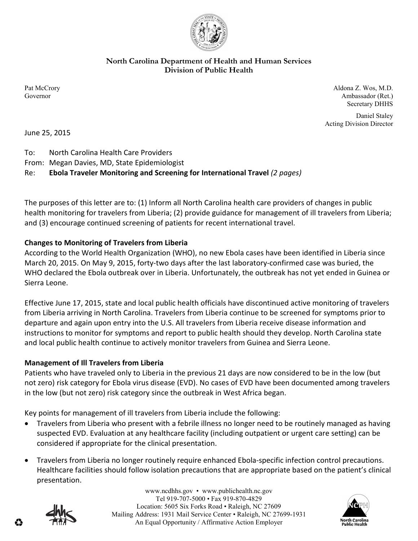

**North Carolina Department of Health and Human Services Division of Public Health** 

Pat McCrory Aldona Z. Wos, M.D. Governor Ambassador (Ret.) Secretary DHHS

> Daniel Staley Acting Division Director

June 25, 2015

To: North Carolina Health Care Providers

From: Megan Davies, MD, State Epidemiologist

## Re: **Ebola Traveler Monitoring and Screening for International Travel** *(2 pages)*

The purposes of this letter are to: (1) Inform all North Carolina health care providers of changes in public health monitoring for travelers from Liberia; (2) provide guidance for management of ill travelers from Liberia; and (3) encourage continued screening of patients for recent international travel.

## **Changes to Monitoring of Travelers from Liberia**

According to the World Health Organization (WHO), no new Ebola cases have been identified in Liberia since March 20, 2015. On May 9, 2015, forty-two days after the last laboratory-confirmed case was buried, the WHO declared the Ebola outbreak over in Liberia. Unfortunately, the outbreak has not yet ended in Guinea or Sierra Leone.

Effective June 17, 2015, state and local public health officials have discontinued active monitoring of travelers from Liberia arriving in North Carolina. Travelers from Liberia continue to be screened for symptoms prior to departure and again upon entry into the U.S. All travelers from Liberia receive disease information and instructions to monitor for symptoms and report to public health should they develop. North Carolina state and local public health continue to actively monitor travelers from Guinea and Sierra Leone.

## **Management of Ill Travelers from Liberia**

Patients who have traveled only to Liberia in the previous 21 days are now considered to be in the low (but not zero) risk category for Ebola virus disease (EVD). No cases of EVD have been documented among travelers in the low (but not zero) risk category since the outbreak in West Africa began.

Key points for management of ill travelers from Liberia include the following:

- Travelers from Liberia who present with a febrile illness no longer need to be routinely managed as having suspected EVD. Evaluation at any healthcare facility (including outpatient or urgent care setting) can be considered if appropriate for the clinical presentation.
- Travelers from Liberia no longer routinely require enhanced Ebola-specific infection control precautions. Healthcare facilities should follow isolation precautions that are appropriate based on the patient's clinical presentation.



www.ncdhhs.gov • www.publichealth.nc.gov Tel 919-707-5000 • Fax 919-870-4829 Location: 5605 Six Forks Road • Raleigh, NC 27609 Mailing Address: 1931 Mail Service Center • Raleigh, NC 27699-1931 An Equal Opportunity / Affirmative Action Employer